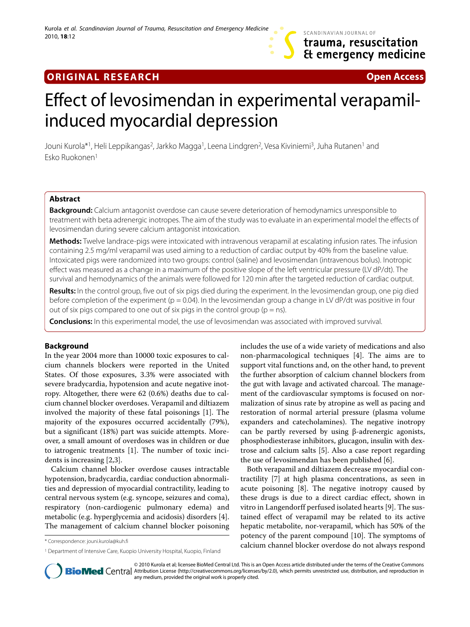# SCANDINAVIAN JOURNAL OF trauma, resuscitation Et emergency medicine

# **ORIGINAL RESEARCH Open Access**

# Effect of levosimendan in experimental verapamilinduced myocardial depression

Jouni Kurola\*1, Heli Leppikangas<sup>2</sup>, Jarkko Magga<sup>1</sup>, Leena Lindgren<sup>2</sup>, Vesa Kiviniemi<sup>3</sup>, Juha Rutanen<sup>1</sup> and Esko Ruokonen1

# **Abstract**

**Background:** Calcium antagonist overdose can cause severe deterioration of hemodynamics unresponsible to treatment with beta adrenergic inotropes. The aim of the study was to evaluate in an experimental model the effects of levosimendan during severe calcium antagonist intoxication.

**Methods:** Twelve landrace-pigs were intoxicated with intravenous verapamil at escalating infusion rates. The infusion containing 2.5 mg/ml verapamil was used aiming to a reduction of cardiac output by 40% from the baseline value. Intoxicated pigs were randomized into two groups: control (saline) and levosimendan (intravenous bolus). Inotropic effect was measured as a change in a maximum of the positive slope of the left ventricular pressure (LV dP/dt). The survival and hemodynamics of the animals were followed for 120 min after the targeted reduction of cardiac output.

**Results:** In the control group, five out of six pigs died during the experiment. In the levosimendan group, one pig died before completion of the experiment ( $p = 0.04$ ). In the levosimendan group a change in LV dP/dt was positive in four out of six pigs compared to one out of six pigs in the control group ( $p = ns$ ).

**Conclusions:** In this experimental model, the use of levosimendan was associated with improved survival.

### **Background**

In the year 2004 more than 10000 toxic exposures to calcium channels blockers were reported in the United States. Of those exposures, 3.3% were associated with severe bradycardia, hypotension and acute negative inotropy. Altogether, there were 62 (0.6%) deaths due to calcium channel blocker overdoses. Verapamil and diltiazem involved the majority of these fatal poisonings [\[1](#page-5-0)]. The majority of the exposures occurred accidentally (79%), but a significant (18%) part was suicide attempts. Moreover, a small amount of overdoses was in children or due to iatrogenic treatments [[1\]](#page-5-0). The number of toxic incidents is increasing [\[2](#page-5-1),[3\]](#page-5-2).

Calcium channel blocker overdose causes intractable hypotension, bradycardia, cardiac conduction abnormalities and depression of myocardial contractility, leading to central nervous system (e.g. syncope, seizures and coma), respiratory (non-cardiogenic pulmonary edema) and metabolic (e.g. hyperglycemia and acidosis) disorders [\[4](#page-6-0)]. The management of calcium channel blocker poisoning

includes the use of a wide variety of medications and also non-pharmacological techniques [[4\]](#page-6-0). The aims are to support vital functions and, on the other hand, to prevent the further absorption of calcium channel blockers from the gut with lavage and activated charcoal. The management of the cardiovascular symptoms is focused on normalization of sinus rate by atropine as well as pacing and restoration of normal arterial pressure (plasma volume expanders and catecholamines). The negative inotropy can be partly reversed by using β-adrenergic agonists, phosphodiesterase inhibitors, glucagon, insulin with dextrose and calcium salts [[5\]](#page-6-1). Also a case report regarding the use of levosimendan has been published [\[6\]](#page-6-2).

Both verapamil and diltiazem decrease myocardial contractility [\[7\]](#page-6-3) at high plasma concentrations, as seen in acute poisoning [\[8](#page-6-4)]. The negative inotropy caused by these drugs is due to a direct cardiac effect, shown in vitro in Langendorff perfused isolated hearts [\[9](#page-6-5)]. The sustained effect of verapamil may be related to its active hepatic metabolite, nor-verapamil, which has 50% of the potency of the parent compound [[10\]](#page-6-6). The symptoms of calcium channel blocker overdose do not always respond \* Correspondence: jouni.kurola@kuh.fi



© 2010 Kurola et al; licensee BioMed Central Ltd. This is an Open Access article distributed under the terms of the Creative Commons **Bio Med** Central Attribution License (http://creativecommons.org/licenses/by/2.0), which permits unrestricted use, distribution, and reproduction in any medium, provided the original work is properly cited.

<sup>&</sup>lt;sup>1</sup> Department of Intensive Care, Kuopio University Hospital, Kuopio, Finland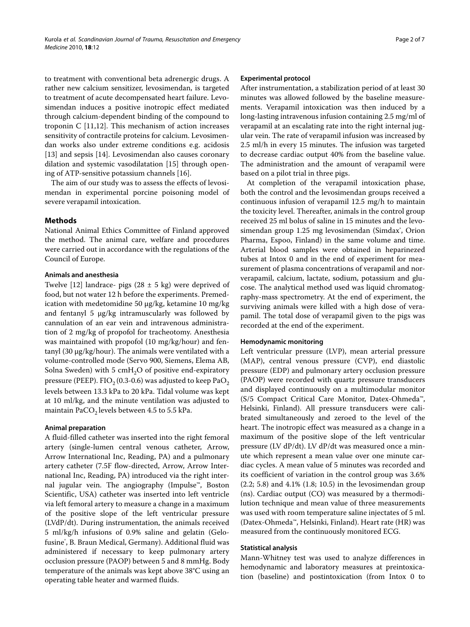simendan induces a positive inotropic effect mediated through calcium-dependent binding of the compound to troponin C [[11](#page-6-7),[12](#page-6-8)]. This mechanism of action increases sensitivity of contractile proteins for calcium. Levosimendan works also under extreme conditions e.g. acidosis [[13\]](#page-6-9) and sepsis [\[14\]](#page-6-10). Levosimendan also causes coronary dilation and systemic vasodilatation [\[15](#page-6-11)] through opening of ATP-sensitive potassium channels [\[16](#page-6-12)].

The aim of our study was to assess the effects of levosimendan in experimental porcine poisoning model of severe verapamil intoxication.

### **Methods**

National Animal Ethics Committee of Finland approved the method. The animal care, welfare and procedures were carried out in accordance with the regulations of the Council of Europe.

### **Animals and anesthesia**

Twelve [[12\]](#page-6-8) landrace- pigs (28  $\pm$  5 kg) were deprived of food, but not water 12 h before the experiments. Premedication with medetomidine 50 μg/kg, ketamine 10 mg/kg and fentanyl 5 μg/kg intramuscularly was followed by cannulation of an ear vein and intravenous administration of 2 mg/kg of propofol for tracheotomy. Anesthesia was maintained with propofol (10 mg/kg/hour) and fentanyl (30 μg/kg/hour). The animals were ventilated with a volume-controlled mode (Servo 900, Siemens, Elema AB, Solna Sweden) with 5  $cmH<sub>2</sub>O$  of positive end-expiratory pressure (PEEP). FIO<sub>2</sub> (0.3-0.6) was adjusted to keep PaO<sub>2</sub> levels between 13.3 kPa to 20 kPa. Tidal volume was kept at 10 ml/kg, and the minute ventilation was adjusted to maintain PaCO<sub>2</sub> levels between 4.5 to 5.5 kPa.

### **Animal preparation**

A fluid-filled catheter was inserted into the right femoral artery (single-lumen central venous catheter, Arrow, Arrow International Inc, Reading, PA) and a pulmonary artery catheter (7.5F flow-directed, Arrow, Arrow International Inc, Reading, PA) introduced via the right internal jugular vein. The angiography (Impulse™, Boston Scientific, USA) catheter was inserted into left ventricle via left femoral artery to measure a change in a maximum of the positive slope of the left ventricular pressure (LVdP/dt). During instrumentation, the animals received 5 ml/kg/h infusions of 0.9% saline and gelatin (Gelofusine® , B. Braun Medical, Germany). Additional fluid was administered if necessary to keep pulmonary artery occlusion pressure (PAOP) between 5 and 8 mmHg. Body temperature of the animals was kept above 38°C using an operating table heater and warmed fluids.

# **Experimental protocol**

After instrumentation, a stabilization period of at least 30 minutes was allowed followed by the baseline measurements. Verapamil intoxication was then induced by a long-lasting intravenous infusion containing 2.5 mg/ml of verapamil at an escalating rate into the right internal jugular vein. The rate of verapamil infusion was increased by 2.5 ml/h in every 15 minutes. The infusion was targeted to decrease cardiac output 40% from the baseline value. The administration and the amount of verapamil were based on a pilot trial in three pigs.

At completion of the verapamil intoxication phase, both the control and the levosimendan groups received a continuous infusion of verapamil 12.5 mg/h to maintain the toxicity level. Thereafter, animals in the control group received 25 ml bolus of saline in 15 minutes and the levosimendan group 1.25 mg levosimendan (Simdax<sup>®</sup>, Orion Pharma, Espoo, Finland) in the same volume and time. Arterial blood samples were obtained in heparinezed tubes at Intox 0 and in the end of experiment for measurement of plasma concentrations of verapamil and norverapamil, calcium, lactate, sodium, potassium and glucose. The analytical method used was liquid chromatography-mass spectrometry. At the end of experiment, the surviving animals were killed with a high dose of verapamil. The total dose of verapamil given to the pigs was recorded at the end of the experiment.

### **Hemodynamic monitoring**

Left ventricular pressure (LVP), mean arterial pressure (MAP), central venous pressure (CVP), end diastolic pressure (EDP) and pulmonary artery occlusion pressure (PAOP) were recorded with quartz pressure transducers and displayed continuously on a multimodular monitor (S/5 Compact Critical Care Monitor, Datex-Ohmeda™, Helsinki, Finland). All pressure transducers were calibrated simultaneously and zeroed to the level of the heart. The inotropic effect was measured as a change in a maximum of the positive slope of the left ventricular pressure (LV dP/dt). LV dP/dt was measured once a minute which represent a mean value over one minute cardiac cycles. A mean value of 5 minutes was recorded and its coefficient of variation in the control group was 3.6% (2.2; 5.8) and 4.1% (1.8; 10.5) in the levosimendan group (ns). Cardiac output (CO) was measured by a thermodilution technique and mean value of three measurements was used with room temperature saline injectates of 5 ml. (Datex-Ohmeda™, Helsinki, Finland). Heart rate (HR) was measured from the continuously monitored ECG.

### **Statistical analysis**

Mann-Whitney test was used to analyze differences in hemodynamic and laboratory measures at preintoxication (baseline) and postintoxication (from Intox 0 to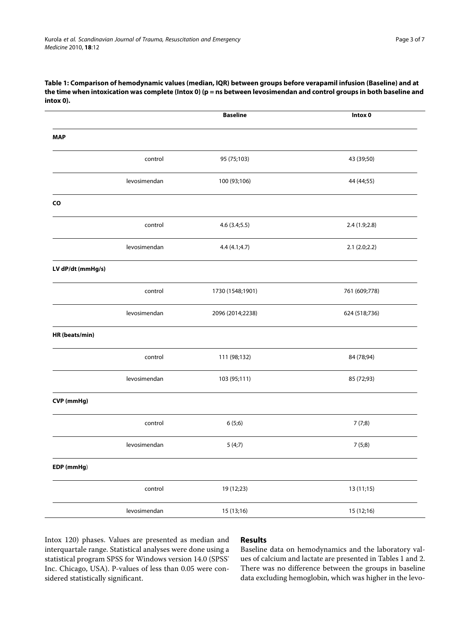|                   | <b>Baseline</b>  | Intox 0       |
|-------------------|------------------|---------------|
| <b>MAP</b>        |                  |               |
| control           | 95 (75;103)      | 43 (39;50)    |
| levosimendan      | 100 (93;106)     | 44 (44;55)    |
| CO                |                  |               |
| control           | 4.6(3.4;5.5)     | 2.4 (1.9;2.8) |
| levosimendan      | 4.4(4.1;4.7)     | 2.1(2.0;2.2)  |
| LV dP/dt (mmHg/s) |                  |               |
| control           | 1730 (1548;1901) | 761 (609;778) |
| levosimendan      | 2096 (2014;2238) | 624 (518;736) |
| HR (beats/min)    |                  |               |
| control           | 111 (98;132)     | 84 (78;94)    |
| levosimendan      | 103 (95;111)     | 85 (72;93)    |
| CVP (mmHg)        |                  |               |
| control           | 6(5;6)           | 7(7;8)        |
| levosimendan      | 5(4;7)           | 7(5;8)        |
| EDP (mmHg)        |                  |               |
| control           | 19 (12;23)       | 13 (11;15)    |
| levosimendan      | 15 (13;16)       | 15 (12;16)    |

#### **Table 1: Comparison of hemodynamic values (median, IQR) between groups before verapamil infusion (Baseline) and at**  the time when intoxication was complete (Intox 0) (p = ns between levosimendan and control groups in both baseline and **intox 0).**

Intox 120) phases. Values are presented as median and interquartale range. Statistical analyses were done using a statistical program SPSS for Windows version 14.0 (SPSS® Inc. Chicago, USA). P-values of less than 0.05 were considered statistically significant.

# **Results**

Baseline data on hemodynamics and the laboratory values of calcium and lactate are presented in Tables 1 and [2](#page-3-0). There was no difference between the groups in baseline data excluding hemoglobin, which was higher in the levo-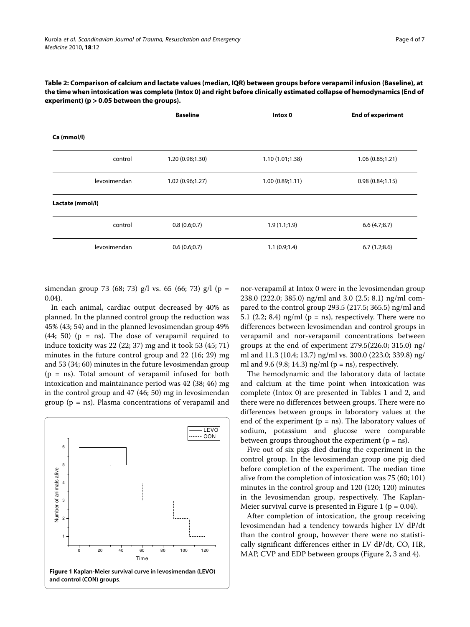|                  | <b>Baseline</b>  | Intox 0         | <b>End of experiment</b> |
|------------------|------------------|-----------------|--------------------------|
| Ca (mmol/l)      |                  |                 |                          |
|                  |                  |                 |                          |
| control          | 1.20 (0.98;1.30) | 1.10(1.01;1.38) | 1.06(0.85;1.21)          |
| levosimendan     | 1.02 (0.96;1.27) | 1.00(0.89;1.11) | 0.98(0.84;1.15)          |
| Lactate (mmol/l) |                  |                 |                          |
| control          | 0.8(0.6;0.7)     | 1.9(1.1;1.9)    | 6.6(4.7;8.7)             |
| levosimendan     | 0.6(0.6;0.7)     | 1.1(0.9;1.4)    | 6.7(1.2;8.6)             |

<span id="page-3-0"></span>**Table 2: Comparison of calcium and lactate values (median, IQR) between groups before verapamil infusion (Baseline), at the time when intoxication was complete (Intox 0) and right before clinically estimated collapse of hemodynamics (End of experiment) (p > 0.05 between the groups).**

simendan group 73 (68; 73) g/l vs. 65 (66; 73) g/l (p = 0.04).

In each animal, cardiac output decreased by 40% as planned. In the planned control group the reduction was 45% (43; 54) and in the planned levosimendan group 49%  $(44; 50)$  (p = ns). The dose of verapamil required to induce toxicity was 22 (22; 37) mg and it took 53 (45; 71) minutes in the future control group and 22 (16; 29) mg and 53 (34; 60) minutes in the future levosimendan group  $(p = ns)$ . Total amount of verapamil infused for both intoxication and maintainance period was 42 (38; 46) mg in the control group and 47 (46; 50) mg in levosimendan group ( $p = ns$ ). Plasma concentrations of verapamil and

<span id="page-3-1"></span>

nor-verapamil at Intox 0 were in the levosimendan group 238.0 (222.0; 385.0) ng/ml and 3.0 (2.5; 8.1) ng/ml compared to the control group 293.5 (217.5; 365.5) ng/ml and 5.1 (2.2; 8.4) ng/ml ( $p = ns$ ), respectively. There were no differences between levosimendan and control groups in verapamil and nor-verapamil concentrations between groups at the end of experiment 279.5(226.0; 315.0) ng/ ml and 11.3 (10.4; 13.7) ng/ml vs. 300.0 (223.0; 339.8) ng/ ml and 9.6 (9.8; 14.3) ng/ml ( $p = ns$ ), respectively.

The hemodynamic and the laboratory data of lactate and calcium at the time point when intoxication was complete (Intox 0) are presented in Tables 1 and 2, and there were no differences between groups. There were no differences between groups in laboratory values at the end of the experiment ( $p = ns$ ). The laboratory values of sodium, potassium and glucose were comparable between groups throughout the experiment  $(p = ns)$ .

Five out of six pigs died during the experiment in the control group. In the levosimendan group one pig died before completion of the experiment. The median time alive from the completion of intoxication was 75 (60; 101) minutes in the control group and 120 (120; 120) minutes in the levosimendan group, respectively. The Kaplan-Meier survival curve is presented in Figure [1](#page-3-1) ( $p = 0.04$ ).

After completion of intoxication, the group receiving levosimendan had a tendency towards higher LV dP/dt than the control group, however there were no statistically significant differences either in LV dP/dt, CO, HR, MAP, CVP and EDP between groups (Figure [2,](#page-4-0) [3](#page-4-1) and [4\)](#page-5-3).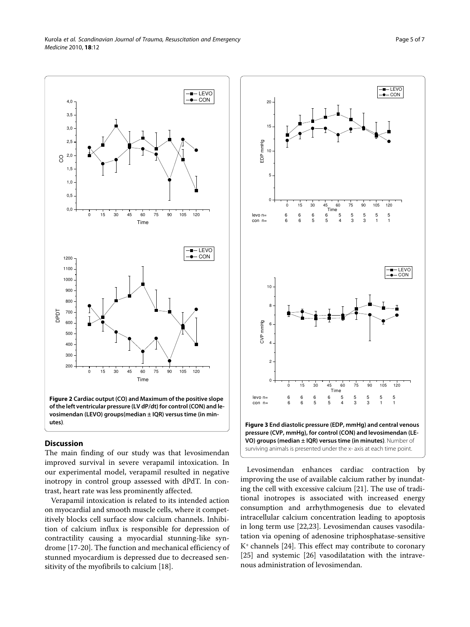<span id="page-4-0"></span>

**Figure 2 Cardiac output (CO) and Maximum of the positive slope of the left ventricular pressure (LV dP/dt) for control (CON) and levosimendan (LEVO) groups(median ± IQR) versus time (in minutes)**.

## **Discussion**

The main finding of our study was that levosimendan improved survival in severe verapamil intoxication. In our experimental model, verapamil resulted in negative inotropy in control group assessed with dPdT. In contrast, heart rate was less prominently affected.

Verapamil intoxication is related to its intended action on myocardial and smooth muscle cells, where it competitively blocks cell surface slow calcium channels. Inhibition of calcium influx is responsible for depression of contractility causing a myocardial stunning-like syndrome [[17-](#page-6-13)[20\]](#page-6-14). The function and mechanical efficiency of stunned myocardium is depressed due to decreased sensitivity of the myofibrils to calcium [[18\]](#page-6-15).

<span id="page-4-1"></span>

Levosimendan enhances cardiac contraction by improving the use of available calcium rather by inundating the cell with excessive calcium [\[21](#page-6-16)]. The use of traditional inotropes is associated with increased energy consumption and arrhythmogenesis due to elevated intracellular calcium concentration leading to apoptosis in long term use [\[22](#page-6-17)[,23](#page-6-18)]. Levosimendan causes vasodilatation via opening of adenosine triphosphatase-sensitive K+ channels [[24](#page-6-19)]. This effect may contribute to coronary [[25\]](#page-6-20) and systemic [[26](#page-6-21)] vasodilatation with the intravenous administration of levosimendan.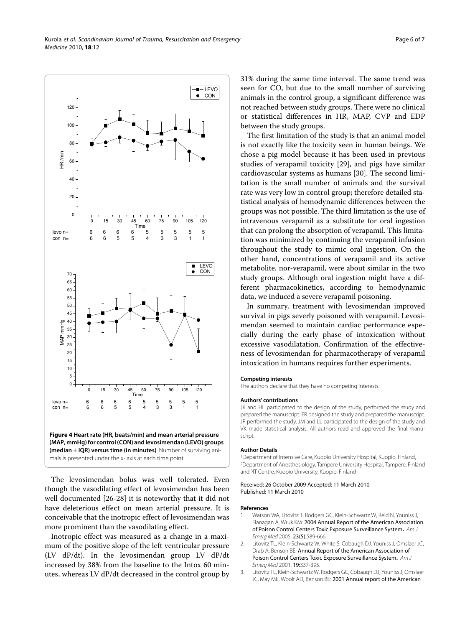<span id="page-5-3"></span>

The levosimendan bolus was well tolerated. Even though the vasodilating effect of levosimendan has been well documented [[26](#page-6-21)[-28](#page-6-22)] it is noteworthy that it did not have deleterious effect on mean arterial pressure. It is conceivable that the inotropic effect of levosimendan was more prominent than the vasodilating effect.

Inotropic effect was measured as a change in a maximum of the positive slope of the left ventricular pressure (LV dP/dt). In the levosimendan group LV dP/dt increased by 38% from the baseline to the Intox 60 minutes, whereas LV dP/dt decreased in the control group by 31% during the same time interval. The same trend was seen for CO, but due to the small number of surviving animals in the control group, a significant difference was not reached between study groups. There were no clinical or statistical differences in HR, MAP, CVP and EDP between the study groups.

The first limitation of the study is that an animal model is not exactly like the toxicity seen in human beings. We chose a pig model because it has been used in previous studies of verapamil toxicity [\[29\]](#page-6-23), and pigs have similar cardiovascular systems as humans [[30\]](#page-6-24). The second limitation is the small number of animals and the survival rate was very low in control group; therefore detailed statistical analysis of hemodynamic differences between the groups was not possible. The third limitation is the use of intravenous verapamil as a substitute for oral ingestion that can prolong the absorption of verapamil. This limitation was minimized by continuing the verapamil infusion throughout the study to mimic oral ingestion. On the other hand, concentrations of verapamil and its active metabolite, nor-verapamil, were about similar in the two study groups. Although oral ingestion might have a different pharmacokinetics, according to hemodynamic data, we induced a severe verapamil poisoning.

In summary, treatment with levosimendan improved survival in pigs severly poisoned with verapamil. Levosimendan seemed to maintain cardiac performance especially during the early phase of intoxication without excessive vasodilatation. Confirmation of the effectiveness of levosimendan for pharmacotherapy of verapamil intoxication in humans requires further experiments.

#### **Competing interests**

The authors declare that they have no competing interests.

#### **Authors' contributions**

JK and HL participated to the design of the study, performed the study and prepared the manuscript. ER designed the study and prepared the manuscript. JR performed the study. JM and LL participated to the design of the study and VK made statistical analysis. All authors read and approved the final manuscript.

#### **Author Details**

1Department of Intensive Care, Kuopio University Hospital, Kuopio, Finland, 2Department of Anesthesiology, Tampere University Hospital, Tampere, Finland and 3IT Centre, Kuopio University, Kuopio, Finland

#### Received: 26 October 2009 Accepted: 11 March 2010 Published: 11 March 2010

#### **References**

- <span id="page-5-0"></span>1. Watson WA, Litovitz T, Rodgers GC, Klein-Schwartz W, Reid N, Youniss J, Flanagan A, Wruk KM: 2004 Annual Report of the American Association of Poison Control Centers Toxic Exposure Surveillance System**.** Am J Emerg Med 2005, 23(5):589-666.
- <span id="page-5-1"></span>2. Litovitz TL, Klein-Schwartz W, White S, Cobaugh DJ, Youniss J, Omslaer JC, Drab A, Benson BE: Annual Report of the American Association of Poison Control Centers Toxic Exposure Surveillance System**.** Am J Emerg Med 2001, 19:337-395.
- <span id="page-5-2"></span>3. Litovitz TL, Klein-Schwartz W, Rodgers GC, Cobaugh DJ, Youniss J, Omslaer JC, May ME, Woolf AD, Benson BE: 2001 Annual report of the American